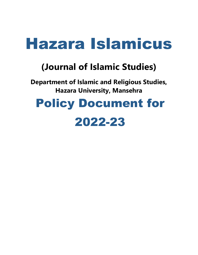# **(Journal of Islamic Studies)**

**Department of Islamic and Religious Studies, Hazara University, Mansehra** 

# Policy Document for

# 2022-23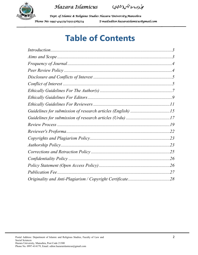*Hazara Islamicus*





# **Table of Contents**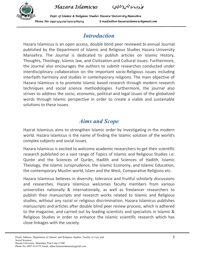

-مجلّبه هزارهاسلامیکس(ششاچی) ,



## *Introduction*

Hazara Islamicus is an open access, double blind peer reviewed bi-annual Journal published by the Department of Islamic and Religious Studies Hazara University Mansehra. The Journal is dedicated to publish articles on Islamic History, Thoughts, Theology, Islamic law, and Civilization and Cultural issues. Furthermore, the Journal also encourages the authors to submit researches conducted under interdisciplinary collaboration on the important socio-Religious issues including interfaith harmony and studies in contemporary religions. The main objective of Hazara Islamicus is to promote Islamic based research through modern research techniques and social science methodologies. Furthermore, the journal also strives to address the socio, economic, political and legal issues of the globalized words through Islamic perspective in order to create a viable and sustainable solutions to these issues.

## *Aims and Scope*

Hazrat Islamicus aims to strengthen Islamic order by investigating in the modern world. Hazara Islamicus is the name of finding the Islamic solution of the world's complex subjects and social issues.

Hazara Islamicus is excited to welcome academic researchers to get their scientific research published on a vast range of Topics of Islamic and Religious Studies i.e: Qurᾱn and the Sciences of Qurᾱn, Ḥadῑth and Sciences of Ḥadῑth, Islamic Theology, the Islamic Jurisprudence, the Islamic Economy, and Islamic Education, the contemporary Muslim world, Islam and the West, Comparative Religions etc.

Hazara Islamicus believes in diversity, tolerance and fruitful scholarly discussions and researches. Hazara Islamicus welcomes faculty members from various universities nationally & internationally, as well as freelancer researchers to publish their manuscripts and research works related to Islamic and Religious studies, without any racial or religious discrimination. Hazara Islamicus publishes manuscripts and articles after double blind peer review process, which is adhered to the magazine, and carried out by leading scientists and specialists in Islamic & Religious Studies in order to enhance the Islamic scientific research which has close linkages with the society.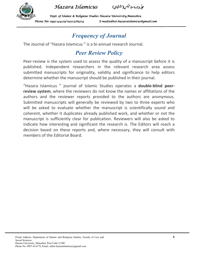

-مجلّبه هزارهاسلامیکس(ششاچی) ,

*Dept. of Islamic & Religious Studies Hazara Univers of Islamic Studies Hazara University,Mansehra niversity,Mansehra ity,Mansehra*  Phone No: 0997-414179/0315-5765774 E-mail:editor.hazaraislamicus@gmail.com

# *Frequency of Journal*

The Journal of "Hazara Islamicus " is a bi-annual research Journal.

# *Peer Review Policy*

Peer-review is the system used to assess the quality of a manuscript before it is published. Independent researchers in the relevant research area assess submitted manuscripts for originality, validity and significance to help editors determine whether the manuscript should be published in their journal.

"Hazara Islamicus " journal of Islamic Studies operates a **double-blind peerreview system**, where the reviewers do not know the names or affiliations of the authors and the reviewer reports provided to the authors are anonymous. Submitted manuscripts will generally be reviewed by two to three experts who will be asked to evaluate whether the manuscript is scientifically sound and coherent, whether it duplicates already published work, and whether or not the manuscript is sufficiently clear for publication. Reviewers will also be asked to indicate how interesting and significant the research is. The Editors will reach a decision based on these reports and, where necessary, they will consult with members of the Editorial Board.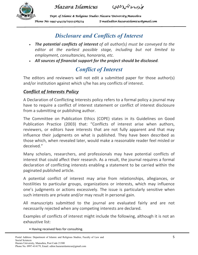



*Dept. of Islamic & Religious Studies Hazara Univers of Islamic Studies Hazara University,Mansehra niversity,Mansehra ity,Mansehra*  Phone No: 0997-414179/0315-5765774 E-mail:editor.hazaraislamicus@gmail.com

# *Disclosure and Conflicts of Interest*

- *The potential conflicts of interest of all author(s) must be conveyed to the editor at the earliest possible stage, including but not limited to employment, consultancies, honoraria, etc.*
- *All sources of financial support for the project should be disclosed.*

# *Conflict of Interest*

The editors and reviewers will not edit a submitted paper for those author(s) and/or institution against which s/he has any conflicts of interest.

## *Conflict of Interests Policy*

A Declaration of Conflicting Interests policy refers to a formal policy a journal may have to require a conflict of interest statement or conflict of interest disclosure from a submitting or publishing author.

The Committee on Publication Ethics (COPE) states in its Guidelines on Good Publication Practice (2003) that: "Conflicts of interest arise when authors, reviewers, or editors have interests that are not fully apparent and that may influence their judgments on what is published. They have been described as those which, when revealed later, would make a reasonable reader feel misled or deceived."

Many scholars, researchers, and professionals may have potential conflicts of interest that could affect their research. As a result, the journal requires a formal declaration of conflicting interests enabling a statement to be carried within the paginated published article.

A potential conflict of interest may arise from relationships, allegiances, or hostilities to particular groups, organizations or interests, which may influence one's judgments or actions excessively. The issue is particularly sensitive when such interests are private and/or may result in personal gain.

All manuscripts submitted to the journal are evaluated fairly and are not necessarily rejected when any competing interests are declared.

Examples of conflicts of interest might include the following, although it is not an exhaustive list:

• Having received fees for consulting.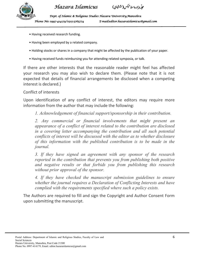

- Having received research funding.
- Having been employed by a related company.
- Holding stocks or shares in a company that might be affected by the publication of your paper.
- Having received funds reimbursing you for attending related symposia, or talk.

If there are other interests that the reasonable reader might feel has affected your research you may also wish to declare them. (Please note that it is not expected that details of financial arrangements be disclosed when a competing interest is declared.)

### Conflict of interests

Upon identification of any conflict of interest, the editors may require more information from the author that may include the following:

*1. Acknowledgement of financial support/sponsorship in their contribution.* 

*2. Any commercial or financial involvements that might present an appearance of a conflict of interest related to the contribution are disclosed in a covering letter accompanying the contribution and all such potential conflicts of interest will be discussed with the editor as to whether disclosure of this information with the published contribution is to be made in the journal.* 

*3. If they have signed an agreement with any sponsor of the research reported in the contribution that prevents you from publishing both positive and negative results or that forbids you from publishing this research without prior approval of the sponsor.* 

*4. If they have checked the manuscript submission guidelines to ensure whether the journal requires a Declaration of Conflicting Interests and have complied with the requirements specified where such a policy exists.*

The Authors are required to fill and sign the Copyright and Author Consent Form upon submitting the manuscript.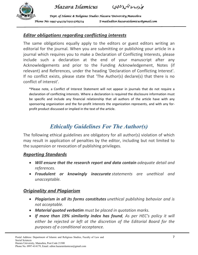



## *Editor obligations regarding conflicting interests*

The same obligations equally apply to the editors or guest editors writing an editorial for the journal. When you are submitting or publishing your article in a journal which requires you to make a Declaration of Conflicting Interests, please include such a declaration at the end of your manuscript after any Acknowledgements and prior to the Funding Acknowledgement, Notes (if relevant) and References, under the heading 'Declaration of Conflicting Interest'. If no conflict exists, please state that 'The Author(s) declare(s) that there is no conflict of interest'.

\*Please note, a Conflict of Interest Statement will not appear in journals that do not require a declaration of conflicting interests. Where a declaration is required the disclosure information must be specific and include any financial relationship that all authors of the article have with any sponsoring organization and the for-profit interests the organization represents, and with any forprofit product discussed or implied in the text of the article.

# *Ethically Guidelines For The Author(s)*

The following ethical guidelines are obligatory for all author(s) violation of which may result in application of penalties by the editor, including but not limited to the suspension or revocation of publishing privileges.

## *Reporting Standards*

- *Will ensure that the research report and data contain adequate detail and references.*
- *Fraudulent or knowingly inaccurate statements are unethical and unacceptable.*

## *Originality and Plagiarism*

- *Plagiarism in all its forms constitutes unethical publishing behavior and is not acceptable.*
- *Material quoted verbatim must be placed in quotation marks.*
- *If more than 19% similarity index has found, As per HEC's policy it will either be rejected or left at the discretion of the Editorial Board for the purposes of a conditional acceptance.*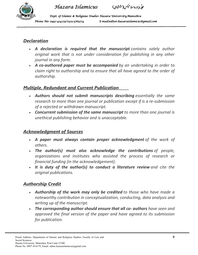



*Dept. of Islamic & Religious Studies Hazara Univers of Islamic Studies Hazara University,Mansehra niversity,Mansehra ity,Mansehra*  Phone No: 0997-414179/0315-5765774 E-mail:editor.hazaraislamicus@gmail.com

## *Declaration*

- *A declaration is required that the manuscript contains solely author original work that is not under consideration for publishing in any other journal in any form.*
- *A co-authored paper must be accompanied by an undertaking in order to claim right to authorship and to ensure that all have agreed to the order of authorship.*

## *Multiple, Redundant and Current Publication*

- *Authors should not submit manuscripts describing essentially the same research to more than one journal or publication except if is a re-submission of a rejected or withdrawn manuscript.*
- *Concurrent submission of the same manuscript to more than one journal is unethical publishing behavior and is unacceptable.*

## *Acknowledgment of Sources*

- *A paper must always contain proper acknowledgment of the work of others.*
- *The author(s) must also acknowledge the contributions of people, organizations and institutes who assisted the process of research or financial funding (in the acknowledgement).*
- *It is duty of the author(s) to conduct a literature review and cite the original publications.*

## *Authorship Credit*

- *Authorship of the work may only be credited to those who have made a noteworthy contribution in conceptualization, conducting, data analysis and writing up of the manuscript.*
- *The corresponding author should ensure that all co- authors have seen and approved the final version of the paper and have agreed to its submission for publication.*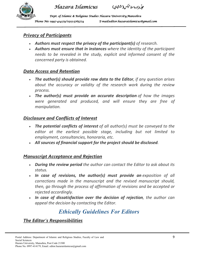





## *Privacy of Participants*

- *Authors must respect the privacy of the participant(s) of research.*
- *Authors must ensure that in instances where the identity of the participant needs to be revealed in the study, explicit and informed consent of the concerned party is obtained.*

## *Data Access and Retention*

- *The author(s) should provide raw data to the Editor, if any question arises about the accuracy or validity of the research work during the review process.*
- *The author(s) must provide an accurate description of how the images were generated and produced, and will ensure they are free of manipulation.*

## *Disclosure and Conflicts of Interest*

- *The potential conflicts of interest of all author(s) must be conveyed to the editor at the earliest possible stage, including but not limited to employment, consultancies, honoraria, etc.*
- *All sources of financial support for the project should be disclosed.*

## *Manuscript Acceptance and Rejection*

- *During the review period the author can contact the Editor to ask about its status.*
- *In case of revisions, the author(s) must provide an exposition of all corrections made in the manuscript and the revised manuscript should, then, go through the process of affirmation of revisions and be accepted or rejected accordingly.*
- *In case of dissatisfaction over the decision of rejection, the author can appeal the decision by contacting the Editor.*

# *Ethically Guidelines For Editors*

## *The Editor's Responsibilities*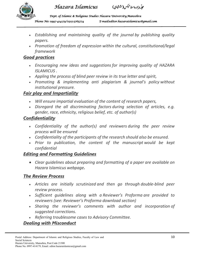



*Dept. of Islamic & Religious Studies Hazara Univers of Islamic Studies Hazara University,Mansehra niversity,Mansehra ity,Mansehra*  Phone No: 0997-414179/0315-5765774 E-mail:editor.hazaraislamicus@gmail.com

- *Establishing and maintaining quality of the journal by publishing quality papers.*
- *Promotion of freedom of expression within the cultural, constitutional/legal framework*

## *Good practices*

- *Encouraging new ideas and suggestions for improving quality of HAZARA ISLAMICUS .*
- *Appling the process of blind peer review in its true letter and spirit,*
- *Promoting & implementing anti plagiarism & journal's policy without institutional pressure.*

## *Fair play and Impartiality*

- *Will ensure impartial evaluation of the content of research papers,*
- *Disregard the all discriminating factors during selection of articles, e.g. gender, race, ethnicity, religious belief, etc. of author(s)*

## *Confidentiality*

- *Confidentiality of the author(s) and reviewers during the peer review process will be ensured*
- *Confidentiality of the participants of the research should also be ensured.*
- *Prior to publication, the content of the manuscript would be kept confidential*

## *Editing and Formatting Guidelines*

 *Clear guidelines about preparing and formatting of a paper are available on Hazara Islamicus webpage.* 

## *The Review Process*

- *Articles are initially scrutinized and then go through double-blind peer review process.*
- *Sufficient guidelines along with a Reviewer's Proforma are provided to reviewers (see: Reviewer's Proforma download section)*
- *Sharing the reviewer's comments with author and incorporation of suggested corrections.*
- *Referring troublesome cases to Advisory Committee.*

## *Dealing with Misconduct*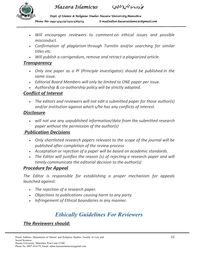



*Dept. of Islamic & Religious Studies Hazara Univers of Islamic Studies Hazara University,Mansehra niversity,Mansehra ity,Mansehra*  Phone No: 0997-414179/0315-5765774 E-mail:editor.hazaraislamicus@gmail.com

- *Will encourages reviewers to comment on ethical issues and possible misconduct.*
- *Confirmation of plagiarism through Turnitin and/or searching for similar titles etc.*
- *Will publish a corrigendum, remove and retract a plagiarized article.*

## *Transparency*

- *Only one paper as a PI (Principle Investigator) should be published in the same issue.*
- *Editorial Board Members will only be limited to ONE paper per issue.*
- *Authorship & co-authorship policy will be strictly adopted.*

## *Conflict of Interest*

 *The editors and reviewers will not edit a submitted paper for those author(s) and/or institution against which s/he has any conflicts of interest.* 

## *Disclosure*

 *will not use any unpublished information/data from the submitted research paper without the permission of the author(s)* 

## *Publication Decisions*

- *Only shortlisted research papers relevant to the scope of the journal will be published after completion of the review process*
- *Acceptation or rejection of a paper will be based on academic standards.*
- The Editor will justifies the reason (s) of rejecting a research paper and will *timely communicate the editorial decision to the author(s)*

## *Procedure for Appeal*

*The Editor is responsible for establishing a proper mechanism for appeals launched against:* 

- *The rejection of a research paper.*
- *Objections to publications causing harm to any party.*
- *Infringement of Ethical boundaries in any manner.*

# *Ethically Guidelines For Reviewers*

## *The Reviewers should:*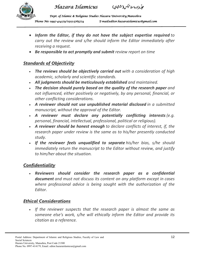





- *Inform the Editor, if they do not have the subject expertise required to carry out the review and s/he should inform the Editor immediately after receiving a request.*
- *Be responsible to act promptly and submit review report on time*

## *Standards of Objectivity*

- *The reviews should be objectively carried out with a consideration of high academic, scholarly and scientific standards.*
- *All judgments should be meticulously established and maintained.*
- *The decision should purely based on the quality of the research paper and not influenced, either positively or negatively, by any personal, financial, or other conflicting considerations.*
- *A reviewer should not use unpublished material disclosed in a submitted manuscript, without the approval of the Editor.*
- *A reviewer must declare any potentially conflicting interests (e.g. personal, financial, intellectual, professional, political or religious).*
- *A reviewer should be honest enough to declare conflicts of interest, if, the research paper under review is the same as to his/her presently conducted study.*
- *If the reviewer feels unqualified to separate his/her bias, s/he should immediately return the manuscript to the Editor without review, and justify to him/her about the situation.*

## *Confidentiality*

 *Reviewers should consider the research paper as a confidential document and must not discuss its content on any platform except in cases where professional advice is being sought with the authorization of the Editor.* 

## *Ethical Considerations*

 *If the reviewer suspects that the research paper is almost the same as someone else's work, s/he will ethically inform the Editor and provide its citation as a reference.*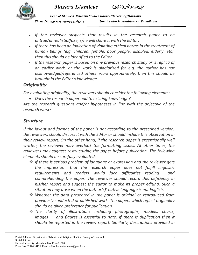



*Dept. of Islamic & Religious Studies Hazara Univers of Islamic Studies Hazara University,Mansehra niversity,Mansehra ity,Mansehra*  Phone No: 0997-414179/0315-5765774 E-mail:editor.hazaraislamicus@gmail.com

- *If the reviewer suspects that results in the research paper to be untrue/unrealistic/fake, s/he will share it with the Editor.*
- *If there has been an indication of violating ethical norms in the treatment of human beings (e.g. children, female, poor people, disabled, elderly, etc), then this should be identified to the Editor.*
- *If the research paper is based on any previous research study or is replica of an earlier work, or the work is plagiarized for e.g. the author has not acknowledged/referenced others' work appropriately, then this should be brought in the Editor's knowledge.*

## *Originality*

*For evaluating originality, the reviewers should consider the following elements:* 

*Does the research paper add to existing knowledge?* 

*Are the research questions and/or hypotheses in line with the objective of the research work?* 

## *Structure*

*If the layout and format of the paper is not according to the prescribed version, the reviewers should discuss it with the Editor or should include this observation in their review report. On the other hand, if the research paper is exceptionally well written, the reviewer may overlook the formatting issues. At other times, the reviewers may suggest restructuring the paper before publication. The following elements should be carefully evaluated:* 

- *If there is serious problem of language or expression and the reviewer gets the impression that the research paper does not fulfill linguistic requirements and readers would face difficulties reading and comprehending the paper. The reviewer should record this deficiency in his/her report and suggest the editor to make its proper editing. Such a situation may arise when the author(s)' native language is not English.*
- *Whether the data presented in the paper is original or reproduced from previously conducted or published work. The papers which reflect originality should be given preference for publication.*
- *The clarity of illustrations including photographs, models, charts,*  images and figures is essential to note. If there is duplication then it *should be reported in the review report. Similarly, descriptions provided in*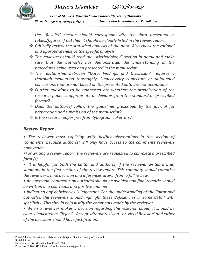



*Dept. of Islamic & Religious Studies Hazara Univers of Islamic Studies Hazara University,Mansehra niversity,Mansehra ity,Mansehra*  Phone No: 0997-414179/0315-5765774 E-mail:editor.hazaraislamicus@gmail.com

*the "Results" section should correspond with the data presented in tables/figures, if not then it should be clearly listed in the review report.* 

- *Critically review the statistical analysis of the data. Also check the rational and appropriateness of the specific analysis.*
- *The reviewers should read the "Methodology" section in detail and make sure that the author(s) has demonstrated the understanding of the procedures being used and presented in the manuscript.*
- *The relationship between "Data, Findings and Discussion" requires a thorough evaluation thoroughly. Unnecessary conjecture or unfounded conclusions that are not based on the presented data are not acceptable.*
- *Further questions to be addressed are whether: the organization of the research paper is appropriate or deviates from the standard or prescribed format?*
- *Does the author(s) follow the guidelines prescribed by the journal for preparation and submission of the manuscript?*
- *Is the research paper free from typographical errors?*

## *Review Report*

*• The reviewer must explicitly write his/her observations in the section of 'comments' because author(s) will only have access to the comments reviewers have made.* 

*•For writing a review report, the reviewers are requested to complete a prescribed form (s).* 

• It is helpful for both the Editor and author(s) if the reviewer writes a brief *summary in the first section of the review report. This summary should comprise the reviewer's final decision and inferences drawn from a full review.* 

*• Any personal comments on author(s) should be avoided and final remarks should be written in a courteous and positive manner.* 

*• Indicating any deficiencies is important. For the understanding of the Editor and author(s), the reviewers should highlight these deficiencies in some detail with specificity. This should help justify the comments made by the reviewer.* 

*• When a reviewer makes a decision regarding the research paper, it should be clearly indicated as 'Reject', 'Accept without revision', or 'Need Revision' and either of the decisions should have justification.*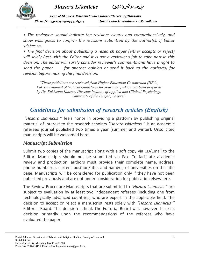



*Dept. of Islamic & Religious Studies Hazara Univers of Islamic Studies Hazara University,Mansehra niversity,Mansehra ity,Mansehra*  Phone No: 0997-414179/0315-5765774 E-mail:editor.hazaraislamicus@gmail.com

*• The reviewers should indicate the revisions clearly and comprehensively, and show willingness to confirm the revisions submitted by the author(s), if Editor wishes so.* 

*• The final decision about publishing a research paper (either accepts or reject) will solely Rest with the Editor and it is not a reviewer's job to take part in this decision. The editor will surely consider reviewer's comments and have a right to send the paper for another opinion or send it back to the author(s) for revision before making the final decision.* 

*"These guidelines are retrieved from Higher Education Commission (HEC), Pakistan manual of"Ethical Guidelines for Journals", which has been prepared by Dr. Rukhsana Kausar, Director Institute of Applied and Clinical Psychology, University of the Punjab, Lahore"*

# *Guidelines for submission of research articles (English)*

 *"Hazara Islamicus "* feels honor in providing a platform by publishing original material of interest to the research scholars *"Hazara Islamicus "* is an academic refereed journal published two times a year (summer and winter). Unsolicited manuscripts will be welcomed here.

## *Manuscript Submission*

Submit two copies of the manuscript along with a soft copy via CD/Email to the Editor. Manuscripts should not be submitted via Fax. To facilitate academic review and production, authors must provide their complete name, address, phone number(s), current position/title, and name(s) of universities on the title page. Manuscripts will be considered for publication only if they have not been published previously and are not under consideration for publication elsewhere.

The Review Procedure Manuscripts that are submitted to *"Hazara Islamicus "* are subject to evaluation by at least two independent referees (including one from technologically advanced countries) who are expert in the applicable field. The decision to accept or reject a manuscript rests solely with *"Hazara Islamicus "* Editorial Board. This decision is final. The Editorial Board will, however, base its decision primarily upon the recommendations of the referees who have evaluated the paper.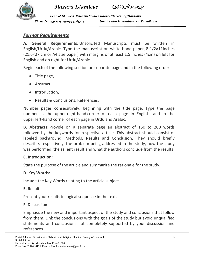



*Dept. of Islamic & Religious Studies Hazara Univers of Islamic Studies Hazara University,Mansehra niversity,Mansehra ity,Mansehra*  Phone No: 0997-414179/0315-5765774 E-mail:editor.hazaraislamicus@gmail.com

## *Format Requirements*

**A. General Requirements:** Unsolicited Manuscripts must be written in English/Urdu/Arabic. Type the manuscript on white bond paper, 8-1/2×11inches (21.6×27 cm or A4 size paper) with margins of at least 1.5 inches (4cm) on left for English and on right for Urdu/Arabic.

Begin each of the following section on separate page and in the following order:

- Title page,
- Abstract,
- Introduction.
- Results & Conclusions, References.

Number pages consecutively, beginning with the title page. Type the page number in the upper right-hand corner of each page in English, and in the upper left-hand corner of each page in Urdu and Arabic.

**B. Abstracts:** Provide on a separate page an abstract of 150 to 200 words followed by the keywords for respective article. This abstract should consist of labeled background, Methods, Results and Conclusion. They should briefly describe, respectively, the problem being addressed in the study, how the study was performed, the salient result and what the authors conclude from the results

## **C. Introduction:**

State the purpose of the article and summarize the rationale for the study.

## **D. Key Words:**

Include the Key Words relating to the article subject.

## **E. Results:**

Present your results in logical sequence in the text.

## **F. Discussion:**

Emphasize the new and important aspect of the study and conclusions that follow from them. Link the conclusions with the goals of the study but avoid unqualified statements and conclusions not completely supported by your discussion and references.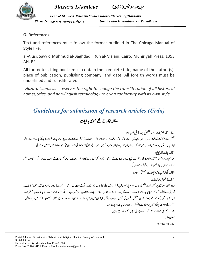

-مجلّبه هزارهاسلامیکس(ششاچی) ,

*Dept. of Islamic & Religious Studies Hazara Univers of Islamic Studies Hazara University,Mansehra niversity,Mansehra ity,Mansehra*  Phone No: 0997-414179/0315-5765774 E-mail:editor.hazaraislamicus@gmail.com

### **G. References:**

Text and references must follow the format outlined in The Chicago Manual of Style like:

al-Alusi, Sayyid Muhmud al-Baghdadi. Ruh al-Ma'ani, Cairo: Muniriyah Press, 1353 AH, PP.

All footnotes citing books must contain the complete title, name of the author(s), place of publication, publishing company, and date. All foreign words must be underlined and transliterated.

*"Hazara Islamicus " reserves the right to change the transliteration of all historical names,titles, and non-English terminology to bring conformity with its own style.* 

# *Guidelines for submission of research articles (Urdu)*

#### -مقالہ نگارکے لئے عمومی ہدایات

#### مقالہ نگار حضرات سے متعلق چند قابل توجہ امور : .<br>تا مقالہ نگار حضرات سے متعلق چند قابل توجہ امور <u>.</u> -

سے مسلسلے کرتے وتت اس کی دوکا پیوں (ہارڈکایی ) کے ساتھ ساتھ سافٹ ( <sup>س</sup>ی ڈی) کا ہو ناضر وری ہے۔ای میل اور ڈاک کے ذریعے مقالہ جات نجیجوائے جاسکتے ہیں<br>تحقیقی مقالہ جمع کراتے وتت اس کی دوکا پیوں (ہارڈکایی ) کے ساتھ ساتھ ساقٹ .<br>. **ا** \$ \$ لہ جات بھیجوائے جاسکتے ہیں۔اس کے ساتھ .<br>- $\overline{a}$ اپنانام، پتہ ، فون نمبر اور جس ادارے میں کام کر رہے ہیں اس کا نام اوراپناعہد ہ ضر مرت شریف تک فون تھیں تھیں کہ میں تک تک سے تک تک کے سی تحریک تک کے سی تحریک کی ت -

#### ֦ <u>مقاله جات کاریویو:</u> .<br>تا

ĺ ۔<br>مجلّہ "مزارہ اسلامیکس" میں اشاعت کی غرض سے بیچیے گئے مقالات کے لئے دو تیمرہ نگار والنے کا ہو نا ضروری ہے۔ مقالہ کی اشاعت کے حوالے سے ادارتی بورڈ کا فیصلہ حتمی !<br>. .<br>ا  $\overline{a}$ , **ا** <sub>نا</sub> ہم اس کی بنیاد تبصر ہ نگار وں کی آڑا<sub>ء</sub> ہی ہوں گی۔ ہوگا۔ تاہم اس کی بنیاد تبصرہ نگاروں کی آڑاء ہی ہوں گی۔

## <u> مقالہ کی ترتیب وتدوین سے متعلق امور :</u>

<u>(الف) عمومی لوازمات :</u> -!<br>.

.<br>ار دو مخطوط A4 صفح پر جمیل نوری تستعیلق فونٹ اور عربی مخطوط ٹریڈیشنل اریک کو ڈی ڈیٹرھ انچ کے فاصلے کے ساتھ ایم ایس اور 2007 فار میٹ میں محفوظ کیا جائے۔ ֦֧ \$ ! \$ !  $\overline{a}$  $\int$ الیف اور مولف کے پورے نام،ادارہ جہاں پر وہ کام کر رہا ہے،ڈاکٹ پتے،ای میل پتے ۔<br>ارٹیکل سے پیپلے ٹائٹل صفحہ مہیا کیاجائے جو تالیف اور مولف کے پورے نام،ادارہ جہاں پر دہ کام سیت اور کی مسلمات جو مولف دیناجا چتاہے، پر مشتمل ہو۔ ر دیگر معلومات جو مولف دیناجا ہتا ہے، پر تشتمل ہو۔ اس کے بعد تقریباًآد ھے صفحے (۲۰۰الفاظ) پر مشتل مضمون کی تلخیص abstract انگریزی زبان میں فراہم <sup>ک</sup>یا جائے۔ حواشی ارمر مصادر ومراجع بالترتیب مضمون کے آثر میں دیئے جائیں۔  $\overline{a}$ .<br>انگر یزی زبان میں فراہم کیا جائے۔ حواشی اور مصادر و مراجع بالترتیب مضمون کے آخر میں دیئے  $\overline{\phantom{a}}$ .<br>. l. مضمون کی طوالت پانچَ تاأَتھُ مِزار الفاظ سے (بشمول حواشی وحوالہ جات) زیادہ نہ ہو۔ b ---مقالے کے ذیلی عنوانات نئے صفحے سے درج ذیل ترتیب کے ساتھ بیچیجے جائیں: ! عنوان مقاله

خلاصہ (Abstract) .<br>.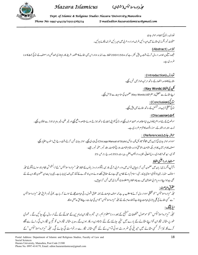

-مجلّبه هزارهاسلامیکس(ششاچی) ,

*Dept. of Islamic & Religious Studies Hazara Univers of Islamic Studies Hazara University,Mansehra niversity,Mansehra ity,Mansehra*  Phone No: 0997-414179/0315-5765774 E-mail:editor.hazaraislamicus@gmail.com

> تعارف، نتائج بحث اور حواله جات ۔<br>صفحات نمبر انگریزی مقالے میں اوپر دائمیں طرف اورار دو عربی میں اوپر بائمیں طرف لگائے جائمیں۔ .<br>.

 $\overline{a}$ <u>(Abstract) خلاصہ</u> ۔<br>علیھدہ صفحے پر خلاصہ ارسال کرتے وقت ہیہ پیش نظر رہے کہ وہ 150 تا تا 200 الفاظ سے زائد نہ ہواوراس میں مقالے کا مقصد ، طریقہ کار ،امیتازی خصائص اور مصنف کے نتائج بحث کا ہو نا !<br>!  $\overline{a}$ ضر وری ہے۔

> <u>توارف (Introduction) :</u> مقالے کاخلاصہ اختصارکے ساتھ مرتب انداز میں تحریر <u>کچ</u>یے۔ -!<br>! !

j <u>. (Key Words) (Key Words)</u> ֚֞ اپنے مقالے سے متعلق پُر مغزالفاظ (Key Words) مضمون کی مناسبت سے شامل کیجیے۔ -

> <u>تتاريج (Conclusion):</u> نتائج منطقی ترتیب اور تسکسل کے ساتھ مقالے میں پی<u>ش چی</u>ے۔

.¢ڤ(Discussion) : موضوع کے نئے اوراہم پہلوؤں پراپنامطالعہ اور محنت صرف کیجیےاور نتائج کواپنی بحث کے ساتھ جوڑتے ہوئے مقاصد داختم کو ملیک مقبر ماہرانہ انداز سے اجتناب کیجیے۔ ! \$ j نوٹ : امل<sub>اء</sub> اورانشا<sub>ء</sub>کے ر موز و قواعد کاالتزام ضر ور <sub>ک</sub>ی ہے۔ ֦ ! .<br>. j  $\mathbf{\mathcal{L}}$ 

-<u> : (References) :</u>

مواد اور حواله جات کی ترتیب میں شکا گو مینو ئیل آف سائل (Chicago Manual of Style) کی پیروی کیجیے۔ حوالہ جات تحریر کرتے وقت درج ذیل اسلوب اختیار کیجیے : .<br>. -.<br>-مصنف کا نام، کتاب کا نام، جگہ اشاعت،اشاعت،ان کی ادارہ، مقامِ اشاعت، تاریخ اشاعت، جلد نمبر، صفحه نمبر۔ جیسے : -.<br>اګو سی، سیډ محمه البغداد کې، روح المعانی، قام<sub>ر</sub>ه، دارالکتب العلمیه، بیر وت، .<br>. j العلميه، بيروت، 1353ھ، ج: 1، ص: 25 ,

#### l. <u>مستعار اوراجبهي الفاظ</u>

 $\overline{a}$ ا گرآپ انگریزی زبان میں مضمون تحریر کر ناچا ہیں تواں میں وار د عربی، ترکی، فارسی، پشتواورار دور بانوں کے بران اس میں انتخاب کا دوسرائے پشتو مے محلہ ! ! !<br>. !<br>. .<br>. b l ! ے<br>ٹرانسلیس<sup>ش</sup> !  $\frac{1}{2}$ ا سلامک سٹڈیز ، بین الا قوامی اسلامی یو نیورسٹی ،ا سلام آ،بادکے نظام پر جسکے کیلئے جوے ہوں جو شارے کے شارک کے لئ<br>اسلامک سٹڈیز ، بین الا قوامی اسلامی یو نیورسٹی ،ا سلام آ،بادکے نظام پر سپ کے سام کی اس کیا جار ہا ہے۔ یہی ہدا !  $\overline{\phantom{a}}$ \$ , 1 l بھی ہے جواپنےار دو یا عربی مضامین میں سے چندالفاظ یااصطلاحات انگریزی میں تحریر کرنا جا ہیں۔  $\overline{\phantom{a}}$ l.

حقوقِ طباعت: -

۔<br>مجلّہ "نہزارہ اسلامیکس'' کو تحقیقی مواد ارسال کرنے کامطلب ہیہ ہے کہ مولوف اشمول کی تعمول برقی طباعے کے حوالے کر رہا ہے ، کوئی تیبر افراقِ مجلّہ "ہزارہ اسلامیکس ! Ê ` a  $\overline{\phantom{a}}$  $\overline{a}$  $\overline{a}$ b بھے کسی مقالے کی کلی یاجزوی طباعت حاہتا ہے توافادہ عام کے لئے مجلّہ سے تھی مقالے کی کلی یاجزوی طباعت حا ہتا ہے توافادہ عام کے لئے مجلّہ ''مِزارہ اسلامیکس'' کواس کی اجازت دینے کاحق حاصل ہوگا۔ كؤاس في اجازت !

#### <u>ایڈینگ:</u> \$

ا<u>یڈیٹینگ:</u><br>مجلّہ ''ہزارہ اسلامیکس'' کو موصول مخطوطات تنقیح کے بعد دو نامعلوم ہم رتبہ تبھرہ نگاران/ماہرین کے محاکمے کے لئے ارسال کیے جائیں گے۔ عمومی ! b -طور پر مقالہ نگاران کواپنے مقالےکے بارے میں نتیجہ جاننے کے لئے 60 دن درکار ہوں گے۔مدیر مقالہ نگاروں کو تجزیہ نگاروں کی رائے سے آگاہ  $\overline{a}$ ہوئی تواس کے لئے بھی مقالہ نگار سے درخواست کی جائے گی۔مجلّہ ۔<br>کرے گا، نیز اگر کسی مقالے میں تبدیلی کی ضرورت ہوئی تواس کے لئے بھی مقالہ نگار سے درخواست کی جائے گی۔ مجلّہ ''مزارہ اسلامیکس'' کے b 

Postal Address: Department of Islamic and Religious Studies, Faculty of Law and 18 Social Sciences Hazara University, Mansehra, Post Code 21300 Phone No. 0997-414179, Email. editor.hazaraislamicus@gmail.com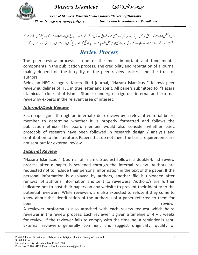

-مجلّبه هزارهاسلامیکس(ششاچی) ,

*Dept. of Islamic & Religious Studies Hazara Univers of Islamic Studies Hazara University,Mansehra niversity,Mansehra ity,Mansehra*  Phone No: 0997-414179/0315-5765774 E-mail:editor.hazaraislamicus@gmail.com

مدیرا مجلس ادارت کو بہ حق حاصل ہے کہ وہ فراہم شدہ علمی مواد کوکایی –ایڈیٹ کرکے مناسب تبدیلیوں اوراصلاحات کے بعدمجلے میں اشاعت کے  $\ddot{\phantom{a}}$  l<br>L ا پڑیٹ کرکے مناسب تبدیلیوںاوراصلاحات کے بع*د مج*لے میں انژ ` a b ֧֧֢֚֚֝<u>֚</u> <sup>\*</sup> اس سے بری الذمہ  $\overline{\phantom{a}}$ -اور نقذ یم شده مواد کی ذمه داری البته ممکل طور پر مولف پر ہو گی مجلے کامدیر یا مجلس ادارت ` a b  $\overline{\phantom{a}}$ !<br>! -لئے تیار کرلے۔خیالات اور نقذ یم شدہ مواد کی ذمہ داری البتہ مثل طور پر مولف پر ہو گی مجلے کامدیر یا مجلس ادارت اس سے بر کی الذمہ ہوں گے۔

## *Review Process*

The peer review process is one of the most important and fundamental components in the publication process. The credibility and reputation of a journal mainly depend on the integrity of the peer review process and the trust of authors.

Being an HEC recognized/accredited journal, "Hazara Islamicus " follows peer review guidelines of HEC in true letter and spirit. All papers submitted to "Hazara Islamicus " (Journal of Islamic Studies) undergo a rigorous internal and external review by experts in the relevant area of interest:

## *Internal/Desk Review*

Each paper goes through an internal / desk review by a relevant editorial board member to determine whether it is properly formatted and follows the publication ethics. The board member would also consider whether basic protocols of research have been followed in research design / analysis and contribution to the literature. Papers that do not meet the basic requirements are not sent out for external review.

## *External Review*

"Hazara Islamicus " (Journal of Islamic Studies) follows a double-blind review process after a paper is screened through the internal review. Authors are requested not to include their personal information in the text of the paper. If the personal information is displayed by authors, another file is uploaded after removal of author's information and sent to reviewers. Authors/s are further indicated not to post their papers on any website to prevent their identity to the potential reviewers. While reviewers are also expected to refuse if they come to know about the identification of the author(s) of a paper referred to them for peer review.

A reviewer proforma is also attached with each review request which helps reviewer in the review process. Each reviewer is given a timeline of  $4 - 5$  weeks for review. If the reviewer fails to comply with the timeline, a reminder is sent. External reviewers generally comment and suggest originality, quality of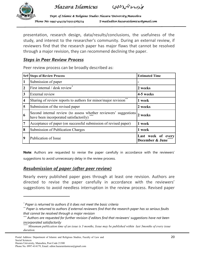

 $\overline{a}$ 

 *Hazara Islamicus*

*Dept. of Islamic & Religious Studies Hazara Univers of Islamic Studies Hazara University,Mansehra niversity,Mansehra ity,Mansehra*  Phone No: 0997-414179/0315-5765774 E-mail:editor.hazaraislamicus@gmail.com

presentation, research design, data/results/conclusions, the usefulness of the study, and interest to the researcher's community. During an external review, if reviewers find that the research paper has major flaws that cannot be resolved through a major revision, they can recommend declining the paper.

## *Steps in Peer Review Process*

Peer review process can be broadly described as:

|                         | <b>Sr# Steps of Review Process</b>                                                                          | <b>Estimated Time</b>                 |
|-------------------------|-------------------------------------------------------------------------------------------------------------|---------------------------------------|
| $\mathbf{1}$            | Submission of paper                                                                                         | -                                     |
| $\overline{2}$          | First internal / desk review                                                                                | 2 weeks                               |
| $\overline{3}$          | External review                                                                                             | 4-5 weeks                             |
| <b>4</b>                | Sharing of review reports to authors for minor/major revision                                               | 1 week                                |
| $\overline{\mathbf{5}}$ | Submission of the revised paper                                                                             | 2 weeks                               |
| 16                      | Second internal review (to assess whether reviewers' suggestions)<br>have been incorporated satisfactorily) | 2 weeks                               |
| $\overline{7}$          | Acceptance of paper (on successful submission of revised paper)                                             | 1 week                                |
| 8                       | Submission of Publication Charges                                                                           | 1 week                                |
| 19                      | Publication of Issue                                                                                        | Last week of every<br>December & June |

**Note**: Authors are requested to revise the paper carefully in accordance with the reviewers' suggestions to avoid unnecessary delay in the review process.

## *Resubmission of paper (after peer review)*

Nearly every published paper goes through at least one revision. Authors are directed to revise the paper carefully in accordance with the reviewers' suggestions to avoid needless interruption in the review process. Revised paper

*<sup>\*</sup> Paper is returned to authors if it does not meet the basic criteria*

*<sup>\*\*</sup> Paper is returned to authors if external reviewers find that the research paper has so serious faults that cannot be resolved through a major revision*

*<sup>\*\*\*</sup> Authors are requested for further revision if editors find that reviewers' suggestions have not been incorporated satisfactorily*

*<sup>\*\*\*\*</sup> Minumum publication time of an issue is 3 months, Issue may be published within last 3months of every issue duration.*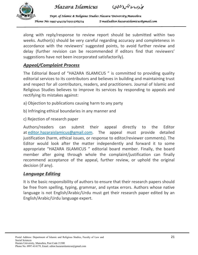





along with reply/response to review report should be submitted within two weeks. Author(s) should be very careful regarding accuracy and completeness in accordance with the reviewers' suggested points, to avoid further review and delay (further revision can be recommended if editors find that reviewers' suggestions have not been incorporated satisfactorily).

## *Appeal/Complaint Process*

The Editorial Board of "HAZARA ISLAMICUS " is committed to providing quality editorial services to its contributors and believes in building and maintaining trust and respect for all contributors, readers, and practitioners. Journal of Islamic and Religious Studies believes to improve its services by responding to appeals and rectifying its mistakes against:

- a) Objection to publications causing harm to any party
- b) Infringing ethical boundaries in any manner and
- c) Rejection of research paper

Authors/readers can submit their appeal directly to the Editor at editor.hazaraislamicus@gmail.com. The appeal must provide detailed justification (harm, ethical issues, or response to editor/reviewer comments). The Editor would look after the matter independently and forward it to some appropriate "HAZARA ISLAMICUS " editorial board member. Finally, the board member after going through whole the complaint/justification can finally recommend acceptance of the appeal, further review, or uphold the original decision (if any).

## *Language Editing*

It is the basic responsibility of authors to ensure that their research papers should be free from spelling, typing, grammar, and syntax errors. Authors whose native language is not English/Arabic/Urdu must get their research paper edited by an English/Arabic/Urdu language expert.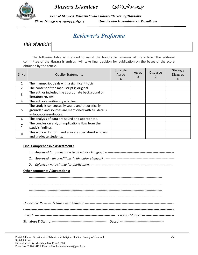

-مجلّبه هزارهاسلامیکس(ششاچی) ,

*Dept. of Islamic & Religious Studies Hazara Univers of Islamic Studies Hazara University,Mansehra niversity,Mansehra ity,Mansehra*  Phone No: 0997-414179/0315-5765774 E-mail:editor.hazaraislamicus@gmail.com

## *Reviewer's Proforma*

*Title of Article:* 

The following table is intended to assist the honorable reviewer of the article. The editorial committee of the **Hazara Islamicus** will take final decision for publication on the bases of the score obtained by the article.

| S. No | <b>Quality Statements</b>                                                                                                           | Strongly<br>Agree<br>4 | Agree<br>3 | <b>Disagree</b> | Strongly<br><b>Disagree</b><br>0 |
|-------|-------------------------------------------------------------------------------------------------------------------------------------|------------------------|------------|-----------------|----------------------------------|
| 1     | The manuscript deals with a significant topic.                                                                                      |                        |            |                 |                                  |
| 2     | The content of the manuscript is original.                                                                                          |                        |            |                 |                                  |
| 3     | The author included the appropriate background or<br>literature review.                                                             |                        |            |                 |                                  |
| 4     | The author's writing style is clear.                                                                                                |                        |            |                 |                                  |
| 5     | The study is conceptually sound and theoretically<br>grounded and sources are mentioned with full details<br>in footnotes/endnotes. |                        |            |                 |                                  |
| 6     | The analysis of data are sound and appropriate.                                                                                     |                        |            |                 |                                  |
| 7     | The conclusion and/or implications flow from the<br>study's findings.                                                               |                        |            |                 |                                  |
| 8     | This work will inform and educate specialized scholars<br>and graduate students.                                                    |                        |            |                 |                                  |

#### **Final Comprehensive Assestment :**

- 1. *Approved for publication (with minor changes) : ----------------------------------------------------------*
- 2. *Approved with conditions (with major changes) : ----------------------------------------------------------*
- 3. *Rejected / not suitable for publication: ---------------------------------------------------------------------*

#### **Other comments / Suggestions:**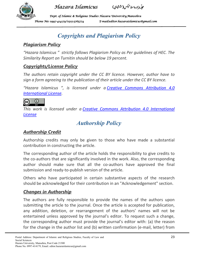

-مجلّبه هزارهاسلامیکس(ششاچی) ,

*Dept. of Islamic & Religious Studies Hazara Univers of Islamic Studies Hazara University,Mansehra niversity,Mansehra ity,Mansehra*  Phone No: 0997-414179/0315-5765774 E-mail:editor.hazaraislamicus@gmail.com

# *Copyrights and Plagiarism Policy*

## *Plagiarism Policy*

*"Hazara Islamicus " strictly follows Plagiarism Policy as Per guidelines of HEC. The Similarity Report on Turnitin should be below 19 percent.* 

## *Copyrights/License Policy*

*The authors retain copyright under the CC BY licence. However, author have to sign a form agreeing to the publication of their article under the CC BY licence.* 

*"Hazara Islamicus ", is licensed under a Creative Commons Attribution 4.0 International License.* 



*This work is licensed under a Creative Commons Attribution 4.0 International License*

# *Authorship Policy*

## *Authorship Credit*

Authorship credits may only be given to those who have made a substantial contribution in constructing the article.

The corresponding author of the article holds the responsibility to give credits to the co-authors that are significantly involved in the work. Also, the corresponding author should make sure that all the co-authors have approved the final submission and ready-to-publish version of the article.

Others who have participated in certain substantive aspects of the research should be acknowledged for their contribution in an "Acknowledgement" section.

## *Changes in Authorship*

The authors are fully responsible to provide the names of the authors upon submitting the article to the journal. Once the article is accepted for publication, any addition, deletion, or rearrangement of the authors' names will not be entertained unless approved by the journal's editor. To request such a change, the corresponding author must provide the journal's editor with: (a) the reason for the change in the author list and (b) written confirmation (e-mail, letter) from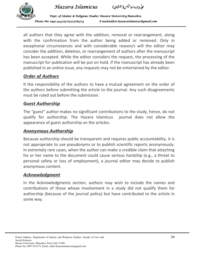



*Dept. of Islamic & Religious Studies Hazara Univers of Islamic Studies Hazara University,Mansehra niversity,Mansehra ity,Mansehra*  Phone No: 0997-414179/0315-5765774 E-mail:editor.hazaraislamicus@gmail.com

all authors that they agree with the addition, removal or rearrangement, along with the confirmation from the author being added or removed. Only in exceptional circumstances and with considerable reason/s will the editor may consider the addition, deletion, or rearrangement of authors after the manuscript has been accepted. While the editor considers the request, the processing of the manuscript for publication will be put on hold. If the manuscript has already been published in an online issue, any requests may not be entertained by the editor.

## *Order of Authors*

It the responsibility of the authors to have a mutual agreement on the order of the authors before submitting the article to the journal. Any such disagreements must be ruled out before the submission.

## *Guest Authorship*

The "guest" author makes no significant contributions to the study, hence, do not qualify for authorship. The Hazara Islamicus journal does not allow the appearance of guest authorship on the articles.

## *Anonymous Authorship*

Because authorship should be transparent and requires public accountability, it is not appropriate to use pseudonyms or to publish scientific reports anonymously. In extremely rare cases, when the author can make a credible claim that attaching his or her name to the document could cause serious hardship (e.g., a threat to personal safety or loss of employment), a journal editor may decide to publish anonymous content.

## *Acknowledgment*

In the Acknowledgments section, authors may wish to include the names and contributions of those whose involvement in a study did not qualify them for authorship (because of the journal policy) but have contributed to the article in some way.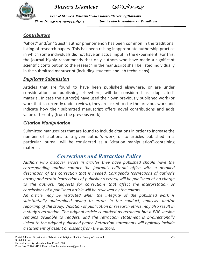

-مجلّبه هزارهاسلامیکس(ششاچی) ,

*Dept. of Islamic & Religious Studies Hazara Univers of Islamic Studies Hazara University,Mansehra niversity,Mansehra ity,Mansehra*  Phone No: 0997-414179/0315-5765774 E-mail:editor.hazaraislamicus@gmail.com

## *Contributors*

"Ghost" and/or "Guest" author phenomenon has been common in the traditional listing of research papers. This has been raising inappropriate authorship practice in which some individuals did not have an actual input in the experiment. For this, the journal highly recommends that only authors who have made a significant scientific contribution to the research in the manuscript shall be listed individually in the submitted manuscript (including students and lab technicians).

## *Duplicate Submission*

Articles that are found to have been published elsewhere, or are under consideration for publishing elsewhere, will be considered as "duplicated" material. In case the author(s) have used their own previously published work (or work that is currently under review), they are asked to cite the previous work and indicate how their submitted manuscript offers novel contributions and adds value differently (from the previous work).

## *Citation Manipulation*

Submitted manuscripts that are found to include citations in order to increase the number of citations to a given author's work, or to articles published in a particular journal, will be considered as a "citation manipulation"-containing material.

## *Corrections and Retraction Policy*

*Authors who discover errors in articles they have published should have the corresponding author contact the journal's editorial office with a detailed description of the correction that is needed. Corrigenda (corrections of author's errors) and errata (corrections of publisher's errors) will be published at no charge to the authors. Requests for corrections that affect the interpretation or conclusions of a published article will be reviewed by the editors.* 

*An article may be retracted when the integrity of the published work is substantially undermined owing to errors in the conduct, analysis, and/or reporting of the study. Violation of publication or research ethics may also result in a study's retraction. The original article is marked as retracted but a PDF version remains available to readers, and the retraction statement is bi-directionally linked to the original published paper. Retraction statements will typically include a statement of assent or dissent from the authors.*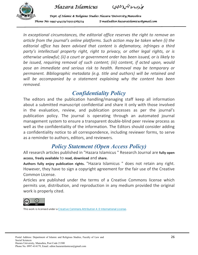



*Dept. of Islamic & Religious Studies Hazara Univers of Islamic Studies Hazara University,Mansehra niversity,Mansehra ity,Mansehra*  Phone No: 0997-414179/0315-5765774 E-mail:editor.hazaraislamicus@gmail.com

*In exceptional circumstances, the editorial office reserves the right to remove an article from the journal's online platforms. Such action may be taken when (i) the editorial office has been advised that content is defamatory, infringes a third*  party's intellectual property right, right to privacy, or other legal rights, or is *otherwise unlawful; (ii) a court or government order has been issued, or is likely to be issued, requiring removal of such content; (iii) content, if acted upon, would pose an immediate and serious risk to health. Removal may be temporary or permanent. Bibliographic metadata (e.g. title and authors) will be retained and*  will be accompanied by a statement explaining why the content has been *removed.* 

# *Confidentiality Policy*

The editors and the publication handling/managing staff keep all information about a submitted manuscript confidential and share it only with those involved in the evaluation, review, and publication processes as per the journal's publication policy. The journal is operating through an automated journal management system to ensure a transparent double-blind peer review process as well as the confidentiality of the information. The Editors should consider adding a confidentiality notice to all correspondence, including reviewer forms, to serve as a reminder to authors, editors, and reviewers.

## *Policy Statement (Open Access Policy)*

All research articles published in "Hazara Islamicus " Research Journal are **fully open access**, **freely available** to **read, download** and **share.**

**Authors fully enjoy publication rights.** "Hazara Islamicus " does not retain any right. However, they have to sign a copyright agreement for the fair use of the Creative Common License.

Articles are published under the terms of a Creative Commons license which permits use, distribution, and reproduction in any medium provided the original work is properly cited.



This work is licensed under a Creative Commons Attribution 4.0 International License.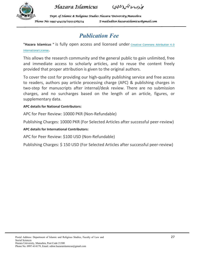

-مجلّبه هزارهاسلامیکس(ششاچی) ,

*Dept. of Islamic & Religious Studies Hazara Univers of Islamic Studies Hazara University,Mansehra niversity,Mansehra ity,Mansehra*  Phone No: 0997-414179/0315-5765774 E-mail:editor.hazaraislamicus@gmail.com

# *Publication Fee*

"Hazara Islamicus " is fully open access and licensed under Creative Commons Attribution 4.0 International License.

This allows the research community and the general public to gain unlimited, free and immediate access to scholarly articles, and to reuse the content freely provided that proper attribution is given to the original authors.

To cover the cost for providing our high-quality publishing service and free access to readers, authors pay article processing charge (APC) & publishing charges in two-step for manuscripts after internal/desk review. There are no submission charges, and no surcharges based on the length of an article, figures, or supplementary data.

### **APC details for National Contributors:**

APC for Peer Review: 10000 PKR (Non-Refundable)

Publishing Charges: 10000 PKR (For Selected Articles after successful peer-review)

### **APC details for International Contributors:**

APC for Peer Review: \$100 USD (Non-Refundable)

Publishing Charges: \$ 150 USD (For Selected Articles after successful peer-review)